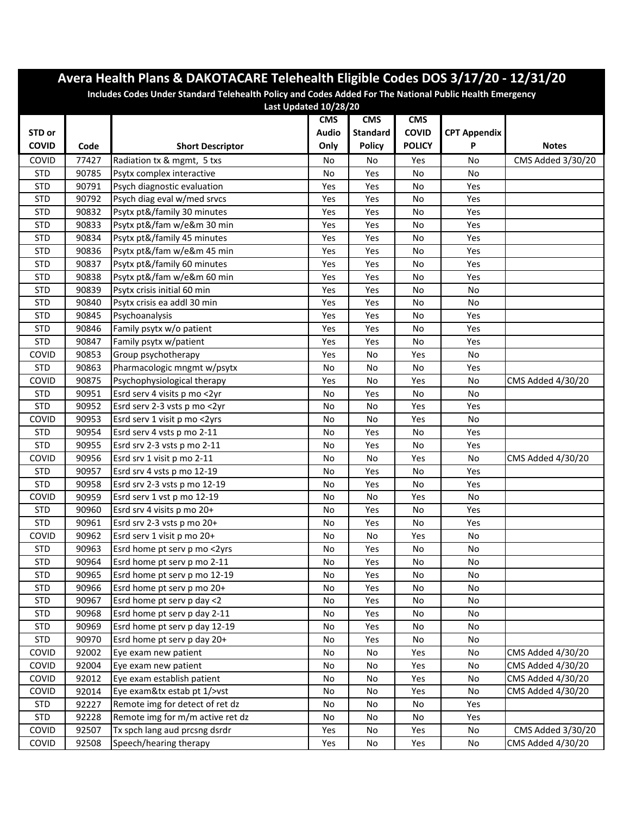| Avera Health Plans & DAKOTACARE Telehealth Eligible Codes DOS 3/17/20 - 12/31/20                                                  |       |                                  |            |                 |               |                     |                   |  |  |
|-----------------------------------------------------------------------------------------------------------------------------------|-------|----------------------------------|------------|-----------------|---------------|---------------------|-------------------|--|--|
| Includes Codes Under Standard Telehealth Policy and Codes Added For The National Public Health Emergency<br>Last Updated 10/28/20 |       |                                  |            |                 |               |                     |                   |  |  |
|                                                                                                                                   |       |                                  | <b>CMS</b> | <b>CMS</b>      | <b>CMS</b>    |                     |                   |  |  |
| STD or                                                                                                                            |       |                                  | Audio      | <b>Standard</b> | <b>COVID</b>  | <b>CPT Appendix</b> |                   |  |  |
| <b>COVID</b>                                                                                                                      | Code  | <b>Short Descriptor</b>          | Only       | <b>Policy</b>   | <b>POLICY</b> | P                   | <b>Notes</b>      |  |  |
| COVID                                                                                                                             | 77427 | Radiation tx & mgmt, 5 txs       | No         | No              | Yes           | No                  | CMS Added 3/30/20 |  |  |
| <b>STD</b>                                                                                                                        | 90785 | Psytx complex interactive        | No         | Yes             | No            | No                  |                   |  |  |
| <b>STD</b>                                                                                                                        | 90791 | Psych diagnostic evaluation      | Yes        | Yes             | No            | Yes                 |                   |  |  |
| <b>STD</b>                                                                                                                        | 90792 | Psych diag eval w/med srvcs      | Yes        | Yes             | No            | Yes                 |                   |  |  |
| <b>STD</b>                                                                                                                        | 90832 | Psytx pt&/family 30 minutes      | Yes        | Yes             | No            | Yes                 |                   |  |  |
| <b>STD</b>                                                                                                                        | 90833 | Psytx pt&/fam w/e&m 30 min       | Yes        | Yes             | No            | Yes                 |                   |  |  |
| <b>STD</b>                                                                                                                        | 90834 | Psytx pt&/family 45 minutes      | Yes        | Yes             | No            | Yes                 |                   |  |  |
| <b>STD</b>                                                                                                                        | 90836 | Psytx pt&/fam w/e&m 45 min       | Yes        | Yes             | No            | Yes                 |                   |  |  |
| <b>STD</b>                                                                                                                        | 90837 | Psytx pt&/family 60 minutes      | Yes        | Yes             | No            | Yes                 |                   |  |  |
| <b>STD</b>                                                                                                                        | 90838 | Psytx pt&/fam w/e&m 60 min       | Yes        | Yes             | No            | Yes                 |                   |  |  |
| <b>STD</b>                                                                                                                        | 90839 | Psytx crisis initial 60 min      | Yes        | Yes             | No            | No                  |                   |  |  |
| <b>STD</b>                                                                                                                        | 90840 | Psytx crisis ea addl 30 min      | Yes        | Yes             | No            | No                  |                   |  |  |
| <b>STD</b>                                                                                                                        | 90845 | Psychoanalysis                   | Yes        | Yes             | No            | Yes                 |                   |  |  |
| <b>STD</b>                                                                                                                        | 90846 | Family psytx w/o patient         | Yes        | Yes             | No            | Yes                 |                   |  |  |
| <b>STD</b>                                                                                                                        | 90847 | Family psytx w/patient           | Yes        | Yes             | No            | Yes                 |                   |  |  |
| COVID                                                                                                                             | 90853 | Group psychotherapy              | Yes        | No              | Yes           | No                  |                   |  |  |
| <b>STD</b>                                                                                                                        | 90863 | Pharmacologic mngmt w/psytx      | No         | No              | No            | Yes                 |                   |  |  |
| COVID                                                                                                                             | 90875 | Psychophysiological therapy      | Yes        | No              | Yes           | No                  | CMS Added 4/30/20 |  |  |
| <b>STD</b>                                                                                                                        | 90951 | Esrd serv 4 visits p mo <2yr     | No         | Yes             | $\mathsf{No}$ | No                  |                   |  |  |
| <b>STD</b>                                                                                                                        | 90952 | Esrd serv 2-3 vsts p mo <2yr     | No         | No              | Yes           | Yes                 |                   |  |  |
| COVID                                                                                                                             | 90953 | Esrd serv 1 visit p mo <2yrs     | No         | No              | Yes           | No                  |                   |  |  |
| <b>STD</b>                                                                                                                        | 90954 | Esrd serv 4 vsts p mo 2-11       | No         | Yes             | No            | Yes                 |                   |  |  |
| <b>STD</b>                                                                                                                        | 90955 | Esrd srv 2-3 vsts p mo 2-11      | No         | Yes             | No            | Yes                 |                   |  |  |
| <b>COVID</b>                                                                                                                      | 90956 | Esrd srv 1 visit p mo 2-11       | No         | No              | Yes           | No                  | CMS Added 4/30/20 |  |  |
| <b>STD</b>                                                                                                                        | 90957 | Esrd srv 4 vsts p mo 12-19       | No         | Yes             | No            | Yes                 |                   |  |  |
| <b>STD</b>                                                                                                                        | 90958 | Esrd srv 2-3 vsts p mo 12-19     | No         | Yes             | No            | Yes                 |                   |  |  |
| <b>COVID</b>                                                                                                                      | 90959 | Esrd serv 1 vst p mo 12-19       | No         | No              | Yes           | No                  |                   |  |  |
| <b>STD</b>                                                                                                                        | 90960 | Esrd srv 4 visits p mo 20+       | No         | Yes             | No            | Yes                 |                   |  |  |
| <b>STD</b>                                                                                                                        | 90961 | Esrd srv 2-3 vsts p mo 20+       | No         | Yes             | No            | Yes                 |                   |  |  |
| COVID                                                                                                                             | 90962 | Esrd serv 1 visit p mo 20+       | No         | No              | Yes           | No                  |                   |  |  |
| <b>STD</b>                                                                                                                        | 90963 | Esrd home pt serv p mo <2yrs     | No         | Yes             | No            | No                  |                   |  |  |
| <b>STD</b>                                                                                                                        | 90964 | Esrd home pt serv p mo 2-11      | No         | Yes             | No            | No                  |                   |  |  |
| <b>STD</b>                                                                                                                        | 90965 | Esrd home pt serv p mo 12-19     | No         | Yes             | No            | No                  |                   |  |  |
| <b>STD</b>                                                                                                                        | 90966 | Esrd home pt serv p mo 20+       | No         | Yes             | No            | No                  |                   |  |  |
| <b>STD</b>                                                                                                                        | 90967 | Esrd home pt serv p day <2       | No         | Yes             | No            | No                  |                   |  |  |
| <b>STD</b>                                                                                                                        | 90968 | Esrd home pt serv p day 2-11     | No         | Yes             | No            | No                  |                   |  |  |
| <b>STD</b>                                                                                                                        | 90969 | Esrd home pt serv p day 12-19    | No         | Yes             | No            | No                  |                   |  |  |
| <b>STD</b>                                                                                                                        | 90970 | Esrd home pt serv p day 20+      | No         | Yes             | No            | No                  |                   |  |  |
| COVID                                                                                                                             | 92002 | Eye exam new patient             | No         | No              | Yes           | No                  | CMS Added 4/30/20 |  |  |
| COVID                                                                                                                             | 92004 | Eye exam new patient             | No         | No              | Yes           | No                  | CMS Added 4/30/20 |  |  |
| <b>COVID</b>                                                                                                                      | 92012 | Eye exam establish patient       | No         | No              | Yes           | No                  | CMS Added 4/30/20 |  |  |
| <b>COVID</b>                                                                                                                      | 92014 | Eye exam&tx estab pt 1/>vst      | No         | No              | Yes           | No                  | CMS Added 4/30/20 |  |  |
| <b>STD</b>                                                                                                                        | 92227 | Remote img for detect of ret dz  | No         | No              | No            | Yes                 |                   |  |  |
| <b>STD</b>                                                                                                                        | 92228 | Remote img for m/m active ret dz | No         | No              | No            | Yes                 |                   |  |  |
| <b>COVID</b>                                                                                                                      | 92507 | Tx spch lang aud prcsng dsrdr    | Yes        | No              | Yes           | No                  | CMS Added 3/30/20 |  |  |
| COVID                                                                                                                             | 92508 | Speech/hearing therapy           | Yes        | No              | Yes           | No                  | CMS Added 4/30/20 |  |  |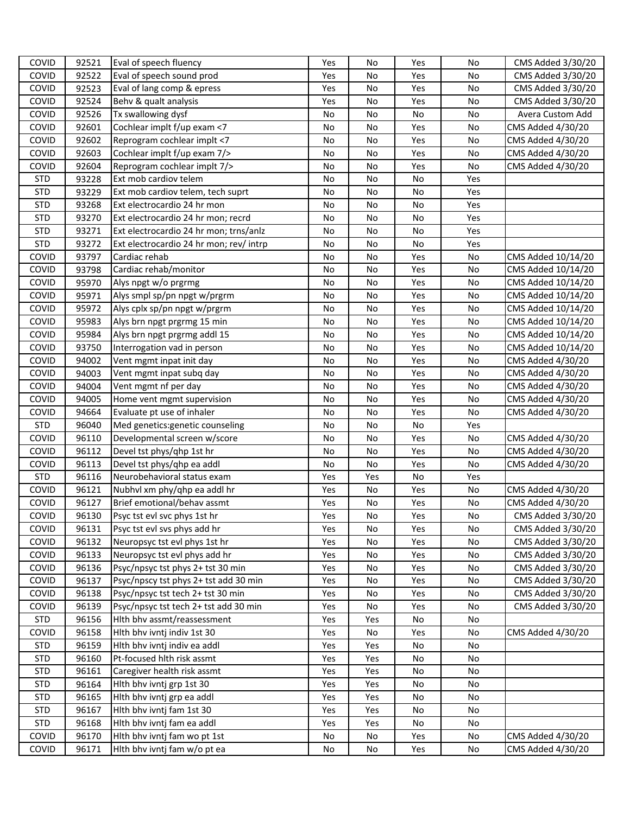| COVID        | 92521 | Eval of speech fluency                  | Yes | No  | Yes | No  | CMS Added 3/30/20  |
|--------------|-------|-----------------------------------------|-----|-----|-----|-----|--------------------|
| <b>COVID</b> | 92522 | Eval of speech sound prod               | Yes | No  | Yes | No  | CMS Added 3/30/20  |
| COVID        | 92523 | Eval of lang comp & epress              | Yes | No  | Yes | No  | CMS Added 3/30/20  |
| COVID        | 92524 | Behv & qualt analysis                   | Yes | No  | Yes | No  | CMS Added 3/30/20  |
| COVID        | 92526 | Tx swallowing dysf                      | No  | No  | No  | No  | Avera Custom Add   |
| COVID        | 92601 | Cochlear implt f/up exam <7             | No  | No  | Yes | No  | CMS Added 4/30/20  |
| <b>COVID</b> | 92602 | Reprogram cochlear implt <7             | No  | No  | Yes | No  | CMS Added 4/30/20  |
| COVID        | 92603 | Cochlear implt f/up exam 7/>            | No  | No  | Yes | No  | CMS Added 4/30/20  |
| COVID        | 92604 | Reprogram cochlear implt 7/>            | No  | No  | Yes | No  | CMS Added 4/30/20  |
| <b>STD</b>   | 93228 | Ext mob cardiov telem                   | No  | No  | No  | Yes |                    |
| <b>STD</b>   | 93229 | Ext mob cardiov telem, tech suprt       | No  | No  | No  | Yes |                    |
| <b>STD</b>   | 93268 | Ext electrocardio 24 hr mon             | No  | No  | No  | Yes |                    |
| <b>STD</b>   | 93270 | Ext electrocardio 24 hr mon; recrd      | No  | No  | No  | Yes |                    |
| <b>STD</b>   | 93271 | Ext electrocardio 24 hr mon; trns/anlz  | No  | No  | No  | Yes |                    |
| <b>STD</b>   | 93272 | Ext electrocardio 24 hr mon; rev/ intrp | No  | No  | No  | Yes |                    |
| COVID        | 93797 | Cardiac rehab                           | No  | No  | Yes | No  | CMS Added 10/14/20 |
| COVID        | 93798 | Cardiac rehab/monitor                   | No  | No  | Yes | No  | CMS Added 10/14/20 |
| COVID        | 95970 | Alys npgt w/o prgrmg                    | No  | No  | Yes | No  | CMS Added 10/14/20 |
| COVID        | 95971 | Alys smpl sp/pn npgt w/prgrm            | No  | No  | Yes | No  | CMS Added 10/14/20 |
| COVID        | 95972 | Alys cplx sp/pn npgt w/prgrm            | No  | No  | Yes | No  | CMS Added 10/14/20 |
| COVID        | 95983 | Alys brn npgt prgrmg 15 min             | No  | No  | Yes | No  | CMS Added 10/14/20 |
| COVID        | 95984 | Alys brn npgt prgrmg addl 15            | No  | No  | Yes | No  | CMS Added 10/14/20 |
| COVID        | 93750 | Interrogation vad in person             | No  | No  | Yes | No  | CMS Added 10/14/20 |
| COVID        | 94002 | Vent mgmt inpat init day                | No  | No  | Yes | No  | CMS Added 4/30/20  |
| COVID        | 94003 | Vent mgmt inpat subq day                | No  | No  | Yes | No  | CMS Added 4/30/20  |
| COVID        | 94004 | Vent mgmt nf per day                    | No  | No  | Yes | No  | CMS Added 4/30/20  |
| <b>COVID</b> | 94005 | Home vent mgmt supervision              | No  | No  | Yes | No  | CMS Added 4/30/20  |
| COVID        | 94664 | Evaluate pt use of inhaler              | No  | No  | Yes | No  | CMS Added 4/30/20  |
| <b>STD</b>   | 96040 | Med genetics: genetic counseling        | No  | No  | No  | Yes |                    |
| COVID        | 96110 | Developmental screen w/score            | No  | No  | Yes | No  | CMS Added 4/30/20  |
| COVID        | 96112 | Devel tst phys/qhp 1st hr               | No  | No  | Yes | No  | CMS Added 4/30/20  |
| <b>COVID</b> | 96113 | Devel tst phys/qhp ea addl              | No  | No  | Yes | No  | CMS Added 4/30/20  |
| <b>STD</b>   | 96116 | Neurobehavioral status exam             | Yes | Yes | No  | Yes |                    |
| COVID        | 96121 | Nubhvl xm phy/qhp ea addl hr            | Yes | No  | Yes | No  | CMS Added 4/30/20  |
| COVID        | 96127 | Brief emotional/behav assmt             | Yes | No  | Yes | No  | CMS Added 4/30/20  |
| COVID        | 96130 | Psyc tst evl svc phys 1st hr            | Yes | No  | Yes | No  | CMS Added 3/30/20  |
| <b>COVID</b> | 96131 | Psyc tst evl svs phys add hr            | Yes | No  | Yes | No  | CMS Added 3/30/20  |
| <b>COVID</b> | 96132 | Neuropsyc tst evl phys 1st hr           | Yes | No  | Yes | No  | CMS Added 3/30/20  |
| COVID        | 96133 | Neuropsyc tst evl phys add hr           | Yes | No  | Yes | No  | CMS Added 3/30/20  |
| COVID        | 96136 | Psyc/npsyc tst phys 2+ tst 30 min       | Yes | No  | Yes | No  | CMS Added 3/30/20  |
| <b>COVID</b> | 96137 | Psyc/npscy tst phys 2+ tst add 30 min   | Yes | No  | Yes | No  | CMS Added 3/30/20  |
| <b>COVID</b> | 96138 | Psyc/npsyc tst tech 2+ tst 30 min       | Yes | No  | Yes | No  | CMS Added 3/30/20  |
| COVID        | 96139 | Psyc/npsyc tst tech 2+ tst add 30 min   | Yes | No  | Yes | No  | CMS Added 3/30/20  |
| <b>STD</b>   | 96156 | Hith bhv assmt/reassessment             | Yes | Yes | No  | No  |                    |
| COVID        | 96158 | Hlth bhv ivntj indiv 1st 30             | Yes | No  | Yes | No  | CMS Added 4/30/20  |
| <b>STD</b>   | 96159 | Hlth bhv ivntj indiv ea addl            | Yes | Yes | No  | No  |                    |
| <b>STD</b>   | 96160 | Pt-focused hith risk assmt              | Yes | Yes | No  | No  |                    |
| <b>STD</b>   | 96161 | Caregiver health risk assmt             | Yes | Yes | No  | No  |                    |
| <b>STD</b>   | 96164 | Hith bhv ivntj grp 1st 30               | Yes | Yes | No  | No  |                    |
| <b>STD</b>   | 96165 | Hith bhv ivntj grp ea addl              | Yes | Yes | No  | No  |                    |
| <b>STD</b>   | 96167 | Hlth bhv ivntj fam 1st 30               | Yes | Yes | No  | No  |                    |
| <b>STD</b>   | 96168 | Hith bhv ivntj fam ea addl              | Yes | Yes | No  | No  |                    |
| COVID        | 96170 | Hith bhv ivntj fam wo pt 1st            | No  | No  | Yes | No  | CMS Added 4/30/20  |
| COVID        | 96171 | Hith bhv ivntj fam w/o pt ea            | No  | No  | Yes | No  | CMS Added 4/30/20  |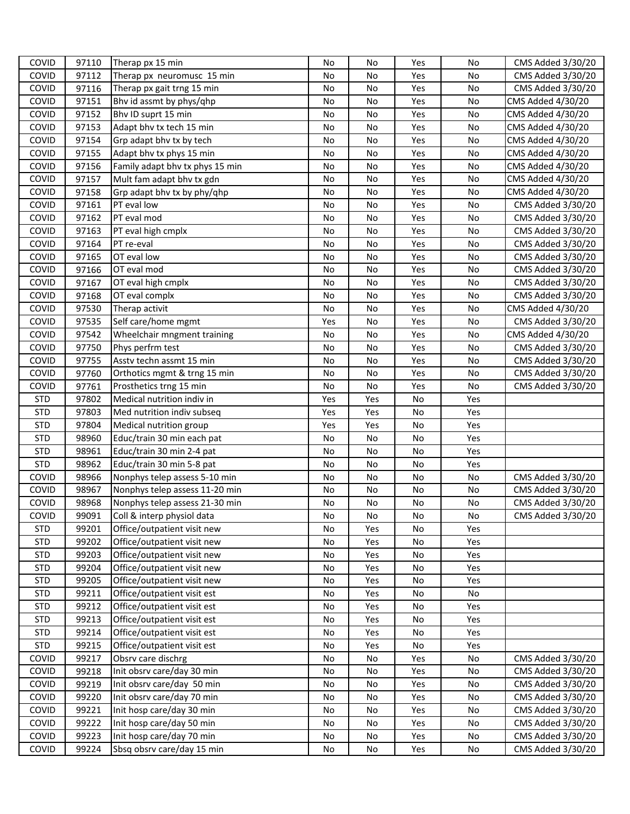| COVID        | 97110 | Therap px 15 min                | No  | No  | Yes | No  | CMS Added 3/30/20 |
|--------------|-------|---------------------------------|-----|-----|-----|-----|-------------------|
| COVID        | 97112 | Therap px neuromusc 15 min      | No  | No  | Yes | No  | CMS Added 3/30/20 |
| COVID        | 97116 | Therap px gait trng 15 min      | No  | No  | Yes | No  | CMS Added 3/30/20 |
| COVID        | 97151 | Bhv id assmt by phys/qhp        | No  | No  | Yes | No  | CMS Added 4/30/20 |
| COVID        | 97152 | Bhv ID suprt 15 min             | No  | No  | Yes | No  | CMS Added 4/30/20 |
| COVID        | 97153 | Adapt bhy tx tech 15 min        | No  | No  | Yes | No  | CMS Added 4/30/20 |
| COVID        | 97154 | Grp adapt bhy tx by tech        | No  | No  | Yes | No  | CMS Added 4/30/20 |
| COVID        | 97155 | Adapt bhy tx phys 15 min        | No  | No  | Yes | No  | CMS Added 4/30/20 |
| COVID        | 97156 | Family adapt bhv tx phys 15 min | No  | No  | Yes | No  | CMS Added 4/30/20 |
| COVID        | 97157 | Mult fam adapt bhv tx gdn       | No  | No  | Yes | No  | CMS Added 4/30/20 |
| COVID        | 97158 | Grp adapt bhy tx by phy/qhp     | No  | No  | Yes | No  | CMS Added 4/30/20 |
| COVID        | 97161 | PT eval low                     | No  | No  | Yes | No  | CMS Added 3/30/20 |
| COVID        | 97162 | PT eval mod                     | No  | No  | Yes | No  | CMS Added 3/30/20 |
| COVID        | 97163 | PT eval high cmplx              | No  | No  | Yes | No  | CMS Added 3/30/20 |
| COVID        | 97164 | PT re-eval                      | No  | No  | Yes | No  | CMS Added 3/30/20 |
| COVID        | 97165 | OT eval low                     | No  | No  | Yes | No  | CMS Added 3/30/20 |
| COVID        | 97166 | OT eval mod                     | No  | No  | Yes | No  | CMS Added 3/30/20 |
| COVID        | 97167 | OT eval high cmplx              | No  | No  | Yes | No  | CMS Added 3/30/20 |
| COVID        | 97168 | OT eval complx                  | No  | No  | Yes | No  | CMS Added 3/30/20 |
| COVID        | 97530 | Therap activit                  | No  | No  | Yes | No  | CMS Added 4/30/20 |
| COVID        | 97535 | Self care/home mgmt             | Yes | No  | Yes | No  | CMS Added 3/30/20 |
| COVID        | 97542 | Wheelchair mngment training     | No  | No  | Yes | No  | CMS Added 4/30/20 |
| COVID        | 97750 | Phys perfrm test                | No  | No  | Yes | No  | CMS Added 3/30/20 |
| COVID        | 97755 | Asstv techn assmt 15 min        | No  | No  | Yes | No  | CMS Added 3/30/20 |
| COVID        | 97760 | Orthotics mgmt & trng 15 min    | No  | No  | Yes | No  | CMS Added 3/30/20 |
| COVID        | 97761 | Prosthetics trng 15 min         | No  | No  | Yes | No  | CMS Added 3/30/20 |
| <b>STD</b>   | 97802 | Medical nutrition indiv in      | Yes | Yes | No  | Yes |                   |
| <b>STD</b>   | 97803 | Med nutrition indiv subseq      | Yes | Yes | No  | Yes |                   |
| <b>STD</b>   | 97804 | Medical nutrition group         | Yes | Yes | No  | Yes |                   |
| <b>STD</b>   | 98960 | Educ/train 30 min each pat      | No  | No  | No  | Yes |                   |
| <b>STD</b>   | 98961 | Educ/train 30 min 2-4 pat       | No  | No  | No  | Yes |                   |
| <b>STD</b>   | 98962 | Educ/train 30 min 5-8 pat       | No  | No  | No  | Yes |                   |
| COVID        | 98966 | Nonphys telep assess 5-10 min   | No  | No  | No  | No  | CMS Added 3/30/20 |
| COVID        | 98967 | Nonphys telep assess 11-20 min  | No  | No  | No  | No  | CMS Added 3/30/20 |
| COVID        | 98968 | Nonphys telep assess 21-30 min  | No  | No  | No  | No  | CMS Added 3/30/20 |
| COVID        | 99091 | Coll & interp physiol data      | No  | No  | No  | No  | CMS Added 3/30/20 |
| <b>STD</b>   | 99201 | Office/outpatient visit new     | No  | Yes | No  | Yes |                   |
| <b>STD</b>   | 99202 | Office/outpatient visit new     | No  | Yes | No  | Yes |                   |
| <b>STD</b>   | 99203 | Office/outpatient visit new     | No  | Yes | No  | Yes |                   |
| <b>STD</b>   | 99204 | Office/outpatient visit new     | No  | Yes | No  | Yes |                   |
| <b>STD</b>   | 99205 | Office/outpatient visit new     | No  | Yes | No  | Yes |                   |
| <b>STD</b>   | 99211 | Office/outpatient visit est     | No  | Yes | No  | No  |                   |
| <b>STD</b>   | 99212 | Office/outpatient visit est     | No  | Yes | No  | Yes |                   |
| <b>STD</b>   | 99213 | Office/outpatient visit est     | No  | Yes | No  | Yes |                   |
| <b>STD</b>   | 99214 | Office/outpatient visit est     | No  | Yes | No  | Yes |                   |
| <b>STD</b>   | 99215 | Office/outpatient visit est     | No  | Yes | No  | Yes |                   |
| <b>COVID</b> | 99217 | Obsrv care dischrg              | No  | No  | Yes | No  | CMS Added 3/30/20 |
| COVID        | 99218 | Init obsrv care/day 30 min      | No  | No  | Yes | No  | CMS Added 3/30/20 |
| COVID        | 99219 | Init obsrv care/day 50 min      | No  | No  | Yes | No  | CMS Added 3/30/20 |
| COVID        | 99220 | Init obsrv care/day 70 min      | No  | No  | Yes | No  | CMS Added 3/30/20 |
| <b>COVID</b> | 99221 | Init hosp care/day 30 min       | No  | No  | Yes | No  | CMS Added 3/30/20 |
| <b>COVID</b> | 99222 | Init hosp care/day 50 min       | No  | No  | Yes | No  | CMS Added 3/30/20 |
| COVID        | 99223 | Init hosp care/day 70 min       | No  | No  | Yes | No  | CMS Added 3/30/20 |
| COVID        | 99224 | Sbsq obsrv care/day 15 min      | No  | No  | Yes | No  | CMS Added 3/30/20 |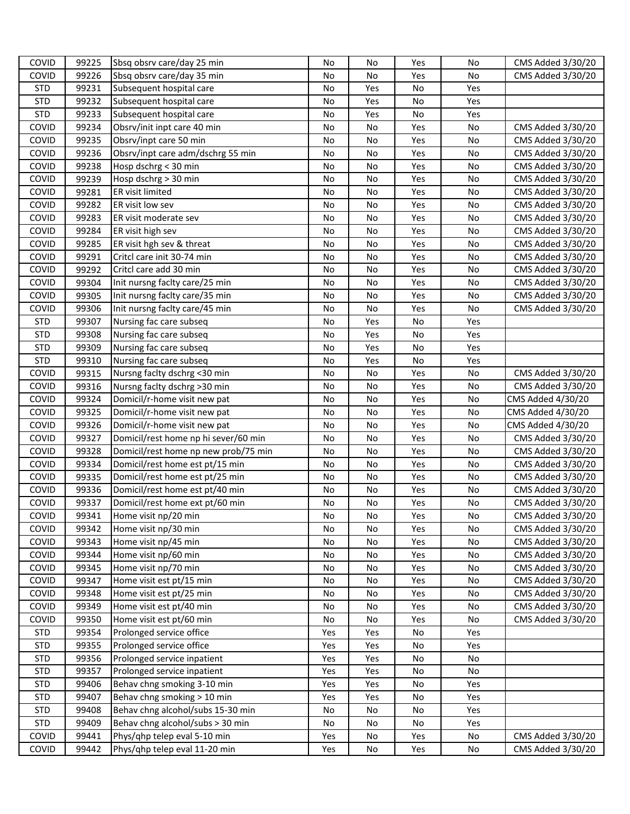| <b>COVID</b>   | 99225          | Sbsq obsrv care/day 25 min                                    | No         | No       | Yes        | No       | CMS Added 3/30/20                      |
|----------------|----------------|---------------------------------------------------------------|------------|----------|------------|----------|----------------------------------------|
| <b>COVID</b>   | 99226          | Sbsq obsrv care/day 35 min                                    | No         | No       | Yes        | No       | CMS Added 3/30/20                      |
| <b>STD</b>     | 99231          | Subsequent hospital care                                      | No         | Yes      | No         | Yes      |                                        |
| <b>STD</b>     | 99232          | Subsequent hospital care                                      | No         | Yes      | No         | Yes      |                                        |
| <b>STD</b>     | 99233          | Subsequent hospital care                                      | No         | Yes      | No         | Yes      |                                        |
| COVID          | 99234          | Obsrv/init inpt care 40 min                                   | No         | No       | Yes        | No       | CMS Added 3/30/20                      |
| COVID          | 99235          | Obsrv/inpt care 50 min                                        | No         | No       | Yes        | No       | CMS Added 3/30/20                      |
| COVID          | 99236          | Obsrv/inpt care adm/dschrg 55 min                             | No         | No       | Yes        | No       | CMS Added 3/30/20                      |
| COVID          | 99238          | Hosp dschrg < 30 min                                          | No         | No       | Yes        | No       | CMS Added 3/30/20                      |
| COVID          | 99239          | Hosp dschrg > 30 min                                          | No         | No       | Yes        | No       | CMS Added 3/30/20                      |
| COVID          | 99281          | ER visit limited                                              | No         | No       | Yes        | No       | CMS Added 3/30/20                      |
| COVID          | 99282          | ER visit low sev                                              | No         | No       | Yes        | No       | CMS Added 3/30/20                      |
| COVID          | 99283          | ER visit moderate sev                                         | No         | No       | Yes        | No       | CMS Added 3/30/20                      |
| COVID          | 99284          | ER visit high sev                                             | No         | No       | Yes        | No       | CMS Added 3/30/20                      |
| COVID          | 99285          | ER visit hgh sev & threat                                     | No         | No       | Yes        | No       | CMS Added 3/30/20                      |
| COVID          | 99291          | Critcl care init 30-74 min                                    | No         | No       | Yes        | No       | CMS Added 3/30/20                      |
| COVID          | 99292          | Critcl care add 30 min                                        | No         | No       | Yes        | No       | CMS Added 3/30/20                      |
| COVID          | 99304          | Init nursng facity care/25 min                                | No         | No       | Yes        | No       | CMS Added 3/30/20                      |
| COVID          | 99305          | Init nursng faclty care/35 min                                | No         | No       | Yes        | No       | CMS Added 3/30/20                      |
| COVID          | 99306          | Init nursng faclty care/45 min                                | No         | No       | Yes        | No       | CMS Added 3/30/20                      |
| <b>STD</b>     | 99307          | Nursing fac care subseq                                       | No         | Yes      | No         | Yes      |                                        |
| <b>STD</b>     | 99308          | Nursing fac care subseq                                       | No         | Yes      | No         | Yes      |                                        |
| <b>STD</b>     | 99309          | Nursing fac care subseq                                       | No         | Yes      | No         | Yes      |                                        |
| <b>STD</b>     | 99310          | Nursing fac care subseq                                       | No         | Yes      | No         | Yes      |                                        |
| COVID          | 99315          | Nursng facity dschrg <30 min                                  | No         | No       | Yes        | No       | CMS Added 3/30/20                      |
| COVID          | 99316          | Nursng facity dschrg >30 min                                  | No         | No       | Yes        | No       | CMS Added 3/30/20                      |
| COVID          | 99324          | Domicil/r-home visit new pat                                  | No         | No       | Yes        | No       | CMS Added 4/30/20                      |
| COVID          | 99325          | Domicil/r-home visit new pat                                  | No         | No       | Yes        | No       | CMS Added 4/30/20                      |
| COVID          | 99326          | Domicil/r-home visit new pat                                  | No         | No       | Yes        | No       | CMS Added 4/30/20                      |
| COVID          | 99327          | Domicil/rest home np hi sever/60 min                          | No         | No       | Yes        | No       | CMS Added 3/30/20                      |
| COVID          | 99328          | Domicil/rest home np new prob/75 min                          | No         | No       | Yes        | No       | CMS Added 3/30/20                      |
| COVID          | 99334          | Domicil/rest home est pt/15 min                               | No         | No       | Yes        | No       | CMS Added 3/30/20                      |
| COVID          | 99335          | Domicil/rest home est pt/25 min                               | No         | No       | Yes        | No       | CMS Added 3/30/20                      |
| COVID          | 99336          | Domicil/rest home est pt/40 min                               | No         | No       | Yes        | No       | CMS Added 3/30/20                      |
| COVID          | 99337          | Domicil/rest home ext pt/60 min                               | No         | No       | Yes        | No       | CMS Added 3/30/20                      |
| COVID          | 99341          | Home visit np/20 min                                          | No         | No       | Yes        | No       | CMS Added 3/30/20                      |
| COVID          | 99342          | Home visit np/30 min                                          | No         | No       | Yes        | No       | CMS Added 3/30/20                      |
| COVID          | 99343          | Home visit np/45 min                                          | No         | No       | Yes        | No       | CMS Added 3/30/20                      |
| COVID          | 99344          | Home visit np/60 min                                          | No         | No       | Yes        | No       | CMS Added 3/30/20                      |
| COVID          | 99345          | Home visit np/70 min                                          | No         | No       | Yes        | No       | CMS Added 3/30/20                      |
| COVID          | 99347          | Home visit est pt/15 min                                      | No         | No       | Yes        | No       | CMS Added 3/30/20                      |
| COVID          | 99348          | Home visit est pt/25 min                                      | No         | No       | Yes        | No       | CMS Added 3/30/20                      |
| COVID          | 99349          | Home visit est pt/40 min                                      | No         | No       | Yes        | No       | CMS Added 3/30/20                      |
| COVID          | 99350          | Home visit est pt/60 min                                      | No         | No       | Yes        | No       | CMS Added 3/30/20                      |
| <b>STD</b>     | 99354          | Prolonged service office                                      | Yes        | Yes      | No         | Yes      |                                        |
| <b>STD</b>     |                | Prolonged service office                                      | Yes        | Yes      | No         | Yes      |                                        |
| <b>STD</b>     | 99355          |                                                               |            |          |            |          |                                        |
|                | 99356          | Prolonged service inpatient                                   | Yes        | Yes      | No         | No       |                                        |
| <b>STD</b>     | 99357          | Prolonged service inpatient                                   | Yes        | Yes      | No         | No       |                                        |
| <b>STD</b>     | 99406          | Behav chng smoking 3-10 min                                   | Yes        | Yes      | No         | Yes      |                                        |
| <b>STD</b>     | 99407          | Behav chng smoking > 10 min                                   | Yes        | Yes      | No         | Yes      |                                        |
| <b>STD</b>     | 99408          | Behav chng alcohol/subs 15-30 min                             | No         | No       | No         | Yes      |                                        |
| <b>STD</b>     | 99409          | Behav chng alcohol/subs > 30 min                              | No         | No       | No         | Yes      |                                        |
| COVID<br>COVID | 99441<br>99442 | Phys/qhp telep eval 5-10 min<br>Phys/qhp telep eval 11-20 min | Yes<br>Yes | No<br>No | Yes<br>Yes | No<br>No | CMS Added 3/30/20<br>CMS Added 3/30/20 |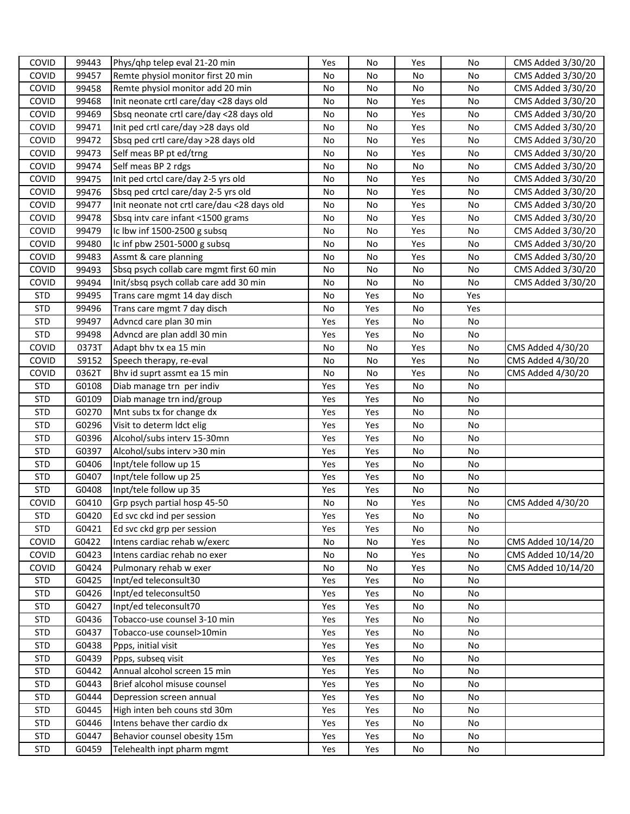| COVID      | 99443 | Phys/qhp telep eval 21-20 min               | Yes | No  | Yes | No  | CMS Added 3/30/20  |
|------------|-------|---------------------------------------------|-----|-----|-----|-----|--------------------|
| COVID      | 99457 | Remte physiol monitor first 20 min          | No  | No  | No  | No  | CMS Added 3/30/20  |
| COVID      | 99458 | Remte physiol monitor add 20 min            | No  | No  | No  | No  | CMS Added 3/30/20  |
| COVID      | 99468 | Init neonate crtl care/day <28 days old     | No  | No  | Yes | No  | CMS Added 3/30/20  |
| COVID      | 99469 | Sbsq neonate crtl care/day <28 days old     | No  | No  | Yes | No  | CMS Added 3/30/20  |
| COVID      | 99471 | Init ped crtl care/day >28 days old         | No  | No  | Yes | No  | CMS Added 3/30/20  |
| COVID      | 99472 | Sbsq ped crtl care/day >28 days old         | No  | No  | Yes | No  | CMS Added 3/30/20  |
| COVID      | 99473 | Self meas BP pt ed/trng                     | No  | No  | Yes | No  | CMS Added 3/30/20  |
| COVID      | 99474 | Self meas BP 2 rdgs                         | No  | No  | No  | No  | CMS Added 3/30/20  |
| COVID      | 99475 | Init ped crtcl care/day 2-5 yrs old         | No  | No  | Yes | No  | CMS Added 3/30/20  |
| COVID      | 99476 | Sbsq ped crtcl care/day 2-5 yrs old         | No  | No  | Yes | No  | CMS Added 3/30/20  |
| COVID      | 99477 | Init neonate not crtl care/dau <28 days old | No  | No  | Yes | No  | CMS Added 3/30/20  |
| COVID      | 99478 | Sbsq intv care infant <1500 grams           | No  | No  | Yes | No  | CMS Added 3/30/20  |
| COVID      | 99479 | Ic lbw inf 1500-2500 g subsq                | No  | No  | Yes | No  | CMS Added 3/30/20  |
| COVID      | 99480 | Ic inf pbw 2501-5000 g subsq                | No  | No  | Yes | No  | CMS Added 3/30/20  |
| COVID      | 99483 | Assmt & care planning                       | No  | No  | Yes | No  | CMS Added 3/30/20  |
| COVID      | 99493 | Sbsq psych collab care mgmt first 60 min    | No  | No  | No  | No  | CMS Added 3/30/20  |
| COVID      | 99494 | Init/sbsq psych collab care add 30 min      | No  | No  | No  | No  | CMS Added 3/30/20  |
| <b>STD</b> | 99495 | Trans care mgmt 14 day disch                | No  | Yes | No  | Yes |                    |
| <b>STD</b> | 99496 | Trans care mgmt 7 day disch                 | No  | Yes | No  | Yes |                    |
| <b>STD</b> | 99497 | Advncd care plan 30 min                     | Yes | Yes | No  | No  |                    |
| <b>STD</b> | 99498 | Advncd are plan addl 30 min                 | Yes | Yes | No  | No  |                    |
| COVID      | 0373T | Adapt bhv tx ea 15 min                      | No  | No  | Yes | No  | CMS Added 4/30/20  |
| COVID      | S9152 | Speech therapy, re-eval                     | No  | No  | Yes | No  | CMS Added 4/30/20  |
| COVID      | 0362T | Bhv id suprt assmt ea 15 min                | No  | No  | Yes | No  | CMS Added 4/30/20  |
| <b>STD</b> | G0108 | Diab manage trn per indiv                   | Yes | Yes | No  | No  |                    |
| <b>STD</b> | G0109 | Diab manage trn ind/group                   | Yes | Yes | No  | No  |                    |
| <b>STD</b> | G0270 | Mnt subs tx for change dx                   | Yes | Yes | No  | No  |                    |
| <b>STD</b> | G0296 | Visit to determ Idct elig                   | Yes | Yes | No  | No  |                    |
| <b>STD</b> | G0396 | Alcohol/subs interv 15-30mn                 | Yes | Yes | No  | No  |                    |
| <b>STD</b> | G0397 | Alcohol/subs interv >30 min                 | Yes | Yes | No  | No  |                    |
| <b>STD</b> | G0406 | Inpt/tele follow up 15                      | Yes | Yes | No  | No  |                    |
| <b>STD</b> | G0407 | Inpt/tele follow up 25                      | Yes | Yes | No  | No  |                    |
| <b>STD</b> | G0408 | Inpt/tele follow up 35                      | Yes | Yes | No  | No  |                    |
| COVID      | G0410 | Grp psych partial hosp 45-50                | No  | No  | Yes | No  | CMS Added 4/30/20  |
| <b>STD</b> | G0420 | Ed svc ckd ind per session                  | Yes | Yes | No  | No  |                    |
| <b>STD</b> | G0421 | Ed svc ckd grp per session                  | Yes | Yes | No  | No  |                    |
| COVID      | G0422 | Intens cardiac rehab w/exerc                | No  | No  | Yes | No  | CMS Added 10/14/20 |
| COVID      | G0423 | Intens cardiac rehab no exer                | No  | No  | Yes | No  | CMS Added 10/14/20 |
| COVID      | G0424 | Pulmonary rehab w exer                      | No  | No  | Yes | No  | CMS Added 10/14/20 |
| <b>STD</b> | G0425 | Inpt/ed teleconsult30                       | Yes | Yes | No  | No  |                    |
| <b>STD</b> | G0426 | Inpt/ed teleconsult50                       | Yes | Yes | No  | No  |                    |
| <b>STD</b> | G0427 | Inpt/ed teleconsult70                       | Yes | Yes | No  | No  |                    |
| <b>STD</b> | G0436 | Tobacco-use counsel 3-10 min                | Yes | Yes | No  | No  |                    |
| <b>STD</b> | G0437 | Tobacco-use counsel>10min                   | Yes | Yes | No  | No  |                    |
| <b>STD</b> | G0438 | Ppps, initial visit                         | Yes | Yes | No  | No  |                    |
| <b>STD</b> | G0439 | Ppps, subseq visit                          | Yes | Yes | No  | No  |                    |
| <b>STD</b> | G0442 | Annual alcohol screen 15 min                | Yes | Yes | No  | No  |                    |
| <b>STD</b> | G0443 | Brief alcohol misuse counsel                | Yes | Yes | No  | No  |                    |
| <b>STD</b> | G0444 | Depression screen annual                    | Yes | Yes | No  | No  |                    |
| <b>STD</b> | G0445 | High inten beh couns std 30m                | Yes | Yes | No  | No  |                    |
| <b>STD</b> | G0446 | Intens behave ther cardio dx                | Yes | Yes | No  | No  |                    |
| <b>STD</b> | G0447 | Behavior counsel obesity 15m                | Yes | Yes | No  | No  |                    |
| <b>STD</b> | G0459 | Telehealth inpt pharm mgmt                  | Yes | Yes | No  | No  |                    |